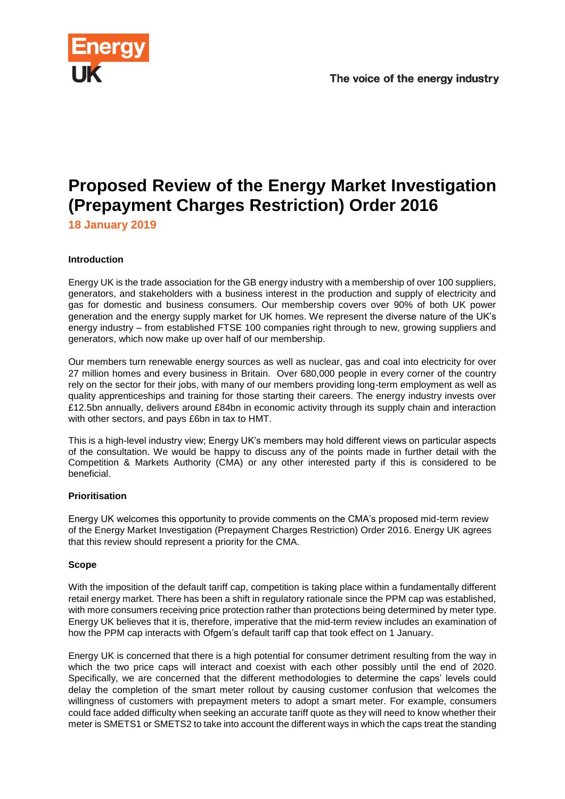

# **Proposed Review of the Energy Market Investigation (Prepayment Charges Restriction) Order 2016**

**18 January 2019**

## **Introduction**

Energy UK is the trade association for the GB energy industry with a membership of over 100 suppliers, generators, and stakeholders with a business interest in the production and supply of electricity and gas for domestic and business consumers. Our membership covers over 90% of both UK power generation and the energy supply market for UK homes. We represent the diverse nature of the UK's energy industry – from established FTSE 100 companies right through to new, growing suppliers and generators, which now make up over half of our membership.

Our members turn renewable energy sources as well as nuclear, gas and coal into electricity for over 27 million homes and every business in Britain. Over 680,000 people in every corner of the country rely on the sector for their jobs, with many of our members providing long-term employment as well as quality apprenticeships and training for those starting their careers. The energy industry invests over £12.5bn annually, delivers around £84bn in economic activity through its supply chain and interaction with other sectors, and pays £6bn in tax to HMT.

This is a high-level industry view; Energy UK's members may hold different views on particular aspects of the consultation. We would be happy to discuss any of the points made in further detail with the Competition & Markets Authority (CMA) or any other interested party if this is considered to be beneficial.

### **Prioritisation**

Energy UK welcomes this opportunity to provide comments on the CMA's proposed mid-term review of the Energy Market Investigation (Prepayment Charges Restriction) Order 2016. Energy UK agrees that this review should represent a priority for the CMA.

### **Scope**

With the imposition of the default tariff cap, competition is taking place within a fundamentally different retail energy market. There has been a shift in regulatory rationale since the PPM cap was established, with more consumers receiving price protection rather than protections being determined by meter type. Energy UK believes that it is, therefore, imperative that the mid-term review includes an examination of how the PPM cap interacts with Ofgem's default tariff cap that took effect on 1 January.

Energy UK is concerned that there is a high potential for consumer detriment resulting from the way in which the two price caps will interact and coexist with each other possibly until the end of 2020. Specifically, we are concerned that the different methodologies to determine the caps' levels could delay the completion of the smart meter rollout by causing customer confusion that welcomes the willingness of customers with prepayment meters to adopt a smart meter. For example, consumers could face added difficulty when seeking an accurate tariff quote as they will need to know whether their meter is SMETS1 or SMETS2 to take into account the different ways in which the caps treat the standing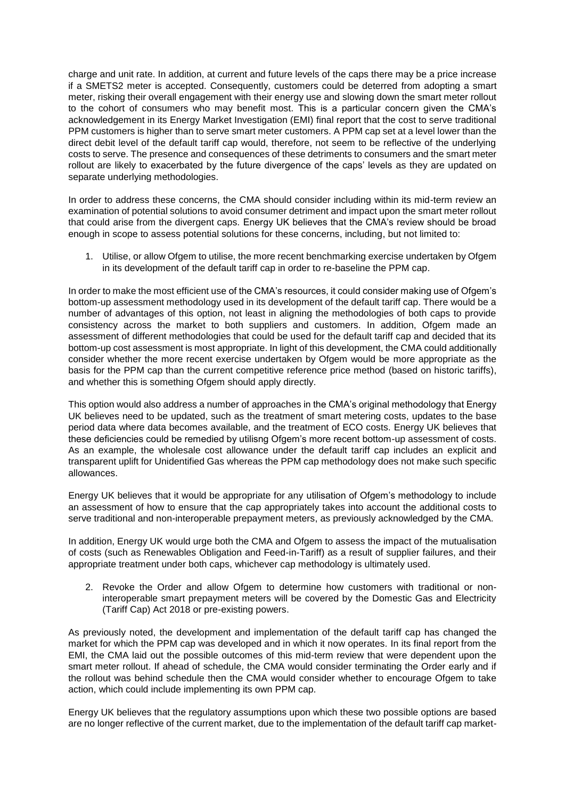charge and unit rate. In addition, at current and future levels of the caps there may be a price increase if a SMETS2 meter is accepted. Consequently, customers could be deterred from adopting a smart meter, risking their overall engagement with their energy use and slowing down the smart meter rollout to the cohort of consumers who may benefit most. This is a particular concern given the CMA's acknowledgement in its Energy Market Investigation (EMI) final report that the cost to serve traditional PPM customers is higher than to serve smart meter customers. A PPM cap set at a level lower than the direct debit level of the default tariff cap would, therefore, not seem to be reflective of the underlying costs to serve. The presence and consequences of these detriments to consumers and the smart meter rollout are likely to exacerbated by the future divergence of the caps' levels as they are updated on separate underlying methodologies.

In order to address these concerns, the CMA should consider including within its mid-term review an examination of potential solutions to avoid consumer detriment and impact upon the smart meter rollout that could arise from the divergent caps. Energy UK believes that the CMA's review should be broad enough in scope to assess potential solutions for these concerns, including, but not limited to:

1. Utilise, or allow Ofgem to utilise, the more recent benchmarking exercise undertaken by Ofgem in its development of the default tariff cap in order to re-baseline the PPM cap.

In order to make the most efficient use of the CMA's resources, it could consider making use of Ofgem's bottom-up assessment methodology used in its development of the default tariff cap. There would be a number of advantages of this option, not least in aligning the methodologies of both caps to provide consistency across the market to both suppliers and customers. In addition, Ofgem made an assessment of different methodologies that could be used for the default tariff cap and decided that its bottom-up cost assessment is most appropriate. In light of this development, the CMA could additionally consider whether the more recent exercise undertaken by Ofgem would be more appropriate as the basis for the PPM cap than the current competitive reference price method (based on historic tariffs), and whether this is something Ofgem should apply directly.

This option would also address a number of approaches in the CMA's original methodology that Energy UK believes need to be updated, such as the treatment of smart metering costs, updates to the base period data where data becomes available, and the treatment of ECO costs. Energy UK believes that these deficiencies could be remedied by utilisng Ofgem's more recent bottom-up assessment of costs. As an example, the wholesale cost allowance under the default tariff cap includes an explicit and transparent uplift for Unidentified Gas whereas the PPM cap methodology does not make such specific allowances.

Energy UK believes that it would be appropriate for any utilisation of Ofgem's methodology to include an assessment of how to ensure that the cap appropriately takes into account the additional costs to serve traditional and non-interoperable prepayment meters, as previously acknowledged by the CMA.

In addition, Energy UK would urge both the CMA and Ofgem to assess the impact of the mutualisation of costs (such as Renewables Obligation and Feed-in-Tariff) as a result of supplier failures, and their appropriate treatment under both caps, whichever cap methodology is ultimately used.

2. Revoke the Order and allow Ofgem to determine how customers with traditional or noninteroperable smart prepayment meters will be covered by the Domestic Gas and Electricity (Tariff Cap) Act 2018 or pre-existing powers.

As previously noted, the development and implementation of the default tariff cap has changed the market for which the PPM cap was developed and in which it now operates. In its final report from the EMI, the CMA laid out the possible outcomes of this mid-term review that were dependent upon the smart meter rollout. If ahead of schedule, the CMA would consider terminating the Order early and if the rollout was behind schedule then the CMA would consider whether to encourage Ofgem to take action, which could include implementing its own PPM cap.

Energy UK believes that the regulatory assumptions upon which these two possible options are based are no longer reflective of the current market, due to the implementation of the default tariff cap market